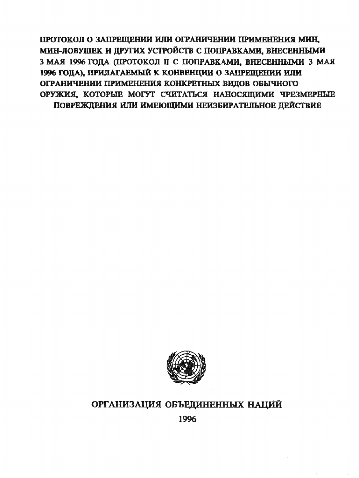ПРОТОКОЛ О ЗАПРЕЩЕНИИ ИЛИ ОГРАНИЧЕНИИ ПРИМЕНЕНИЯ МИН. МИН-ЛОВУШЕК И ДРУГИХ УСТРОЙСТВ С ПОПРАВКАМИ, ВНЕСЕННЫМИ 3 МАЯ 1996 ГОДА (ПРОТОКОЛ II С ПОПРАВКАМИ, ВНЕСЕННЫМИ 3 МАЯ 1996 ГОДА), ПРИЛАГАЕМЫЙ К КОНВЕНЦИИ О ЗАПРЕШЕНИИ ИЛИ ОГРАНИЧЕНИИ ПРИМЕНЕНИЯ КОНКРЕТНЫХ ВИДОВ ОБЫЧНОГО ОРУЖИЯ, КОТОРЫЕ МОГУТ СЧИТАТЬСЯ НАНОСЯЩИМИ ЧРЕЗМЕРНЫЕ ПОВРЕЖДЕНИЯ ИЛИ ИМЕЮЩИМИ НЕИЗБИРАТЕЛЬНОЕ ДЕЙСТВИЕ



# ОРГАНИЗАЦИЯ ОБЪЕДИНЕННЫХ НАЦИЙ

1996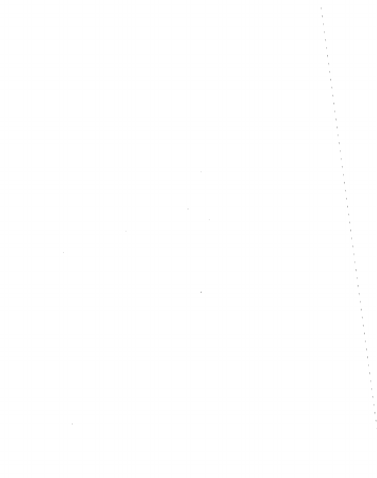$\mathcal{L}(\mathcal{L}^{\mathcal{L}})$  and  $\mathcal{L}(\mathcal{L}^{\mathcal{L}})$  and  $\mathcal{L}(\mathcal{L}^{\mathcal{L}})$ 

 $\label{eq:2.1} \begin{split} \mathcal{L}_{\text{max}}(\mathbf{r}) & = \frac{1}{2} \sum_{i=1}^{N} \mathcal{L}_{\text{max}}(\mathbf{r}) \mathcal{L}_{\text{max}}(\mathbf{r}) \\ & = \frac{1}{2} \sum_{i=1}^{N} \mathcal{L}_{\text{max}}(\mathbf{r}) \mathcal{L}_{\text{max}}(\mathbf{r}) \mathcal{L}_{\text{max}}(\mathbf{r}) \mathcal{L}_{\text{max}}(\mathbf{r}) \mathcal{L}_{\text{max}}(\mathbf{r}) \mathcal{L}_{\text{max}}(\mathbf{r}) \mathcal{L}_{\text{max}}(\mathbf$ 

 $\label{eq:2.1} \mathbf{A} = \left\{ \begin{array}{ll} \mathbf{A} & \mathbf{A} & \mathbf{A} \\ \mathbf{A} & \mathbf{A} & \mathbf{A} \\ \mathbf{A} & \mathbf{A} & \mathbf{A} \\ \mathbf{A} & \mathbf{A} & \mathbf{A} \\ \mathbf{A} & \mathbf{A} & \mathbf{A} \\ \mathbf{A} & \mathbf{A} & \mathbf{A} \\ \mathbf{A} & \mathbf{A} & \mathbf{A} \\ \mathbf{A} & \mathbf{A} & \mathbf{A} \\ \mathbf{A} & \mathbf{A} & \mathbf{A} \\ \mathbf{$ 

 $\label{eq:2.1} \mathcal{L}(\mathcal{L}^{\mathcal{L}}_{\mathcal{L}}(\mathcal{L}^{\mathcal{L}}_{\mathcal{L}})) \leq \mathcal{L}(\mathcal{L}^{\mathcal{L}}_{\mathcal{L}}(\mathcal{L}^{\mathcal{L}}_{\mathcal{L}})) \leq \mathcal{L}(\mathcal{L}^{\mathcal{L}}_{\mathcal{L}}(\mathcal{L}^{\mathcal{L}}_{\mathcal{L}}))$ 

 $\mathcal{L}(\mathcal{A})$  .

 $\mathcal{L}^{\text{max}}_{\text{max}}$  and  $\mathcal{L}^{\text{max}}_{\text{max}}$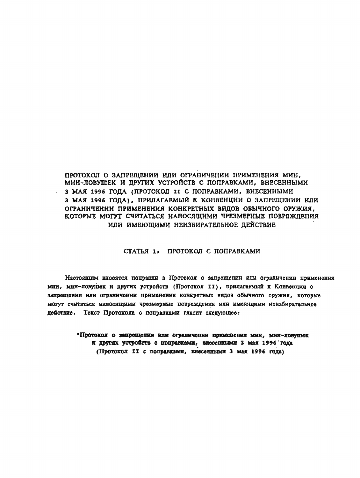ПРОТОКОЛ О ЗАПРЕШЕНИИ ИЛИ ОГРАНИЧЕНИИ ПРИМЕНЕНИЯ МИН. МИН-ЛОВУШЕК И ДРУГИХ УСТРОЙСТВ С ПОПРАВКАМИ, ВНЕСЕННЫМИ 3 МАЯ 1996 ГОДА (ПРОТОКОЛ II С ПОПРАВКАМИ, ВНЕСЕННЫМИ з МАЯ 1996 ГОПА). ПРИЛАГАЕМЫЙ К КОНВЕНЦИИ О ЗАПРЕШЕНИИ ИЛИ ОГРАНИЧЕНИИ ПРИМЕНЕНИЯ КОНКРЕТНЫХ ВИДОВ ОБЫЧНОГО ОРУЖИЯ. КОТОРЫЕ МОГУТ СЧИТАТЬСЯ НАНОСЯЩИМИ ЧРЕЗМЕРНЫЕ ПОВРЕЖДЕНИЯ ИЛИ ИМЕЮЩИМИ НЕИЗБИРАТЕЛЬНОЕ ДЕЙСТВИЕ

# СТАТЬЯ 1: ПРОТОКОЛ С ПОПРАВКАМИ

Настоящим вносятся поправки в Протокол о запрещении или ограничении применения мин, мин-повушек и других устройств (Протокол II), прилагаемый к Конвенции о запрещении или ограничении применения конкретных видов обычного оружия, которые могут считаться наносящими чрезмерные повреждения или имеющими неизбирательное пействие. Текст Протокола с поправками гласит слепующее:

> "Протокол о запрещении или ограничении применения мин. мин-понущек и других устройств с поправиами, внесенными 3 мая 1996 года (Протокол II с поправками, внесенными 3 мая 1996 года)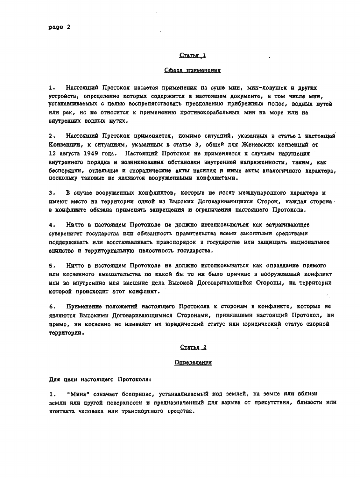# Статья 1

### Сфера применения

Настоящий Протокол касается применения на суще мин. мин-довушек и пругих  $\mathbf{1}$ . устройств, определение которых содержится в настоящем документе, в том числе мин. устанавливаемых с пелью воспрепятствовать преодолению прибрежных полос, водных путей или рек, но не относится к применению противокорабельных мин на море или на виутренних водных путях.

 $2.$ Настоящий Протокол применяется, помимо ситуаций, указанных в статье 1 настоящей Конвенции, к ситуациям, указанным в статье 3, общей для Женевских конвенций от Настоящий Протокол не применяется к случаям нарушения 12 августа 1949 года. внутреннего порядка и возникнования обстановки внутренней напряженности, таким, как беспорядки, отдельные и спорадические акты насилия и иные акты аналогичного характера, поскольку таковые не являются вооруженными конфликтами.

 $\overline{\mathbf{3}}$ . В случае вооруженных конфликтов, которые не носят международного характера и имеют место на территории одной из Высоких Договаривающихся Сторон, каждая сторона в конфликте обязана применять запрещения и ограничения настоящего Протокола.

4. Ничто в настоящем Протоколе не должно истолковываться как затрагивающее суверенитет государства или обязанность правительства всеми законными средствами поддерживать или восстанавливать правопорядок в государстве или защищать национальное единство и территориальную целостность государства.

 $5.$ Ничто в настоящем Протоколе не должно истолковываться как оправдание прямого или косвенного вмешательства по какой бы то ни было причине в вооруженный конфликт или во внутренние или внешиие дела Высокой Договаривающейся Стороны, на территории которой происходит этот конфликт.

6. Применение положений настоящего Протокола к сторонам в конфликте, которые не являются Высокими Договаривающимися Сторонами, принявшими настоящий Протокол, ни прямо, ни косвенно не изменяет их юридический статус или юридический статус спорной территории.

# Статья 2

# Определения

Для цели настоящего Протокола:

"Мина" означает боеприпас, устанавливаемый под землей, на земле или вблизи  $\mathbf{1}$ . земли или другой поверхности и предназначенный для взрыва от присутствия, близости или контакта человека или транспортного средства.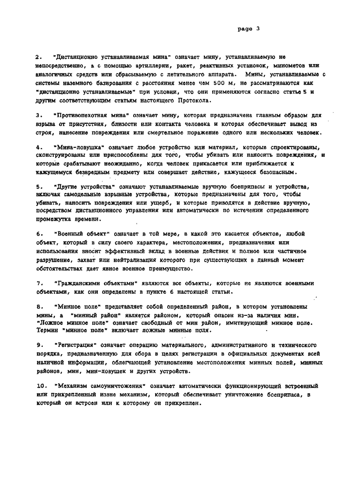$2.$ "Дистанционно устанавливаемая мина" означает мину, устанавливаемую не непосредственно, а с помощью артиллерии, ракет, реактивных установок, минометов или аналогичных средств или сбрасываемую с летательного аппарата. Мины, устанавливаемые с системы наземного базирования с расстояния менее чем 500 м, не рассматриваются как "дистанционно устанавливаемые" при условии, что они применяются согласно статье 5 и другим соответствующим статьям настоящего Протокола.

"Противопехотная мина" означает мину, которая предназначена главным образом для з. взрыва от присутствия, близости или контакта человека и которая обеспечивает вывод из строя, нанесение повреждения или смертельное поражение одного или нескольких человек.

"Мина-ловушка" означает любое устройство или материал, которые спроектнрованы, 4. сконструированы или приспособлены для того, чтобы убивать или наносить повреждения, и которые срабатывают неожиданно, когда человек прикасается или приближается к кажущемуся безвредным предмету или совершает действие, кажущееся безопасным.

"Другие устройства" означают устанавливаемые вручную боеприпасы и устройства,  $5.$ вкиючая самодельные взрывные устройства, которые предназначены для того, чтобы убивать, наносить повреждения или ущерб, и которые приводятся в действие вручную, посредством дистанционного управления или автоматически по истечении определенного проможутка времени.

"Военный объект" означает в той мере, в какой это касается объектов, любой 6. объект, который в силу своего характера, местоположения, предназначения или использования вносит эффективный вклад в военные действия и полное или частичное разрушение, захват или нейтрализация которого при существующих в данный момент обстоятельствах дает явное военное преимущество.

7. "Гражданскими объектами" являются все объекты, которые не являются военными объектами, как они определены в пункте 6 настоящей статьи.

8. "Минное поле" представляет собой определенный район, в котором установлены "минный район" является районом, который опасен из-за наличия мнн. мины. а "Ложное минное поле" означает свободный от мин район, имитирующий минное поле. Термин "минное поле" включает пожные минные поля.

 $9.$ "Регистрация" означает операцию материального, административного и технического порядка, предназначенную для сбора в целях регистрации в официальных документах всей наличной информации, облегчающей установление местоположения минных полей, минных районов, мин, мин-повушек и других устройств.

10. "Механизм самоуничтожения" означает автоматически функционирующий встроенный или прикрепленный извне механизм, который обеспечивает уничтожение боеприпаса, в который он встроен или к которому он прикреплен.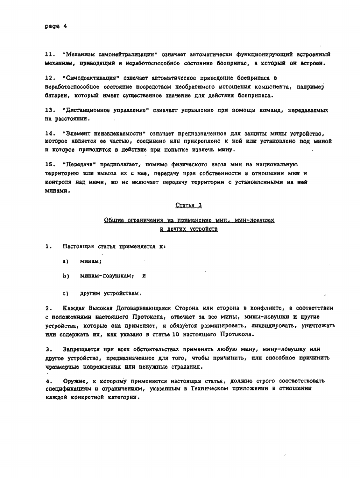11. "Механизм самонейтрализации" означает автоматически функционирующий встроенный механизм, приводящий в неработоспособное состояние боеприпас, в который он встроен.

 $12.$ "Самодеактивация" означает автоматическое приведение боеприпаса в неработоспособное состояние посредством необратимого истощения компонента, например батареи, который имеет существенное значение для действия боеприпаса.

13. "Дистанционное управление" означает управление при помощи команд, передаваемых на расстоянии.

 $14.$ "Элемент неизвлекаемости" означает предназначенное для защиты мины устройство, которое является ее частью, соединено или прикреплено к ней или установлено под миной и которое приводится в действие при попытке извлечь мину.

15. "Передача" предполагает, помимо физического ввоза мин на национальную территорию или вывоза их с нее, передачу прав собственности в отношении мин и контроля над ними, но не включает передачу территории с установленными на ней минами.

### Статья 3

# Общие ограничения на применение мин. мин-ловушек и других устройств

1. Настоящая статья применяется к:

- a) MMHaM:
- b) минам-ловушкам; и
- другам устройствам. C)

 $2.$ Каждая Высокая Договаривающаяся Сторона или сторона в конфликте, в соответствии с положениями настоящего Протокола, отвечает за все мины, мины-ловушки и другие устройства, которые она применяет, и обязуется разминировать, ликвидировать, уничтожать или содержать их, как указано в статье 10 настоящего Протокола.

 $\ddot{ }$ Запрещается при всех обстоятельствах применять любую мину, мину-ловушку или другое устройство, предназначенное для того, чтобы причинить, или способное причинить чрезмерные повреждения или ненужные страдания.

Оружие, к которому применяется настоящая статья, должно строго соответствовать 4. спецификациям и ограничениям, указанным в Техническом приложении в отношении каждой конкретной категории.

ż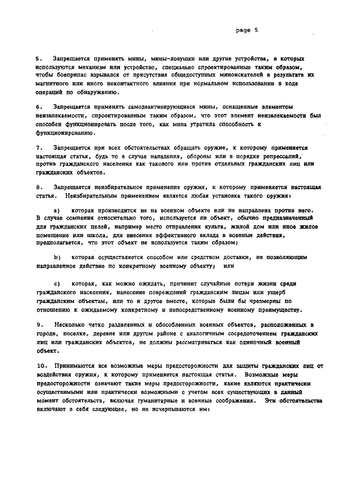5. Запрещается применять мины, мины-ловушки или другие устройства, в которых используются механизм или устройство, специально спроектированные таким образом, чтобы боеприпас взрывался от присутствия общедоступных миноискателей в результате их Магнитного или иного неконтактного влияния при нормальном использовании в ходе операций по обнаружению.

Запрещается применять самодеактивирующиеся мины, оснащенные элементом 6. неизвлекаемости, спроектированным таким образом, что этот элемент неизвлекаемости был способен функционировать после того, как мина утратила способность к функционированию.

Запрещается при всех обстоятельствах обращать оружие, к которому применяется 7. настоящая статья, будь то в случае нападения, обороны или в порядке репрессалий, против гражданского населения как такового или против отдельных гражданских лиц или гражданских объектов.

8. Запрещается неизбирательное применение оружия, к которому применяется настоящая Неизбирательным применением является любая установка такого оружня: CTATLE.

a) которая производится не на военном объекте или не направлена против него. В случае сомнения относительно того, используется ли объект, обычно предназиаченный ппя гражданских целей, например место отправления культа, жилой дом или иное жилое помещение или школа, для внесения эффективного вклада в военные действия, предполагается, что этот объект не используется таким образом;

которая осуществляется способом или средством доставки, не позволяющим **b**) направленное действие по конкретному военному объекту: или

которая, как можно ожидать, причинит случайные потери жизни среди C) гражданского населения, нанесение повреждений гражданским лицам или ущерб гражданским объектам, или то и другое вместе, которые были бы чрезмерны по отношению к ожидаемому конкретному и непосредственному военному преимуществу.

9. Несколько четко разделенных и обособленных военных объектов, расположенных в городе, поселке, деревне или другом районе с аналогичным сосредоточением гражданских лиц или гражданских объектов, не должны рассматриваться как одиночный военный объект.

10. Принимаются все возможные меры предосторожности для защиты гражданских лиц от воздействия оружия, к которому применяется настоящая статья. Возможные меры предосторожности означают такие меры предосторожности, какие являются практически осуществимыми или практически возможными с учетом всех существующих в данный момент обстоятельств, включая гуманитарные и военные соображения. Эти обстоятельства включают в себя следующее, но не исчерпываются им: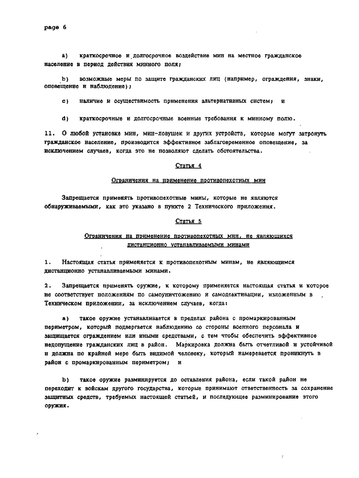краткосрочное и долгосрочное воздействие мин на местное гражданское a) население в период действия минного поля;

возможные меры по защите гражданских лиц (например, ограждения, знаки, b) оповещение и наблюдение) ;

C) наличие и осуществимость применения альтернативных систем; и

d) краткосрочные и долгосрочные военные требования к минному полю.

11. О любой установке мин, мин-ловушек и других устройств, которые могут затронуть гражданское население, производится эффективное заблаговременное оповещение, за исключением случаев, когда это не позволяют сделать обстоятельства.

#### Статья 4

# Ограничения на применение противопехотных мин

Запрещается применять противопехотные мины, которые не являются обнаруживаемыми, как это указано в пункте 2 Технического приложения.

### <u>Статья 5</u>

# Ограничения на применение противопехотных мин, не являющихся дистанционно устанавливаемыми минами

1. Настоящая статья применяется к противопехотным минам, не являющимся дистанционно устанавливаемыми минами.

Запрещается применять оружие, к которому применяется настоящая статья и которое  $2.$ не соответствует положениям по самоуничтожению и самодеактивации, изложенным в Техническом приложении, за исключением случаев, когда:

такое оружне устанавливается в пределах района с промаркированным a) периметром, который подвергается наблюдению со стороны военного персонала и защищается ограждением или иными средствами, с тем чтобы обеспечить эффективное недопущение гражданских лиц в район. Маркировка должна быть отчетливой и устойчивой и должна по крайней мере быть видимой человеку, который намеревается проникнуть в район с промаркированным периметром; и

такое оружие разминируется до оставления района, если такой район не b) переходит к войскам другого государства, которые принимают ответственность за сохранение защитных средств, требуемых настоящей статьей, и последующее разминирование этого оружия.

 $\lambda$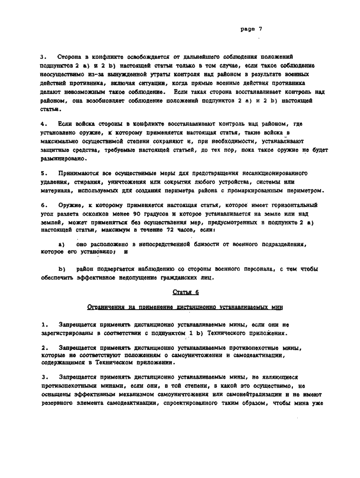$3.$ Сторона в конфинкте освобождается от дальнейшего соблюдения положений подпунктов 2 а) и 2 b) настоящей статьи только в том случае, если такое соблюдение неосуществимо из-за вынужденной утраты контроля над районом в результате военных действий противника, включая ситуации, когда прямые военные действия противника делают невозможным такое соблюдение. Если такая сторона восстанавливает контроль над районом, она возобновляет соблюдение положений подпунктов 2 а) и 2 b) настоящей CTATLE.

Есяи войска стороны в конфликте восстанавливают контроль над районом, где Δ. установлено оружие, к которому применяется настоящая статья, такие войска в максимально осуществимой степени сохраняют и, при необходимости, устанавливают защитные средства, требуемые настоящей статьей, до тех пор, пока такое оружие не будет разминировано.

5. Принимаются все осуществимые меры для предотвращения несанкционированного удаления. стирания, уничтожения или сокрытия любого устройства, системы или материала, используемых для создания периметра района с промаркированным периметром.

Оружие, к которому применяется настоящая статья, которое имеет горизонтальный 6. угол разлета осколков менее 90 градусов и которое устанавливается на земле или над землей, может применяться без осуществления мер, предусмотренных в подпункте 2 а) настоящей статьи, максимум в течение 72 часов, еслия

 $a$ оно расположено в непосредственной близости от военного подразделения, которое его установило; и

район подвергается наблюдению со стороны военного персонала, с тем чтобы b) обеспечить эффективное недопущение гражданских лиц.

### CTatha<sub>6</sub>

# Ограничения на применение дистанционно устанавливаемых мин

 $1.$ Запрещается применять дистанционно устанавливаемые мины, если они не зарегистрированы в соответствии с подпунктом 1 b) Технического приложения.

 $2.$ Запрешается применять дистанционно устанавливаемые противопехотные мины. которые не соответствуют положениям о самоуничтожении и самодеактивации, содержащимся в Техническом приложении.

 $3.$ Запрещается применять дистанционно устанавливаемые мины, не являющиеся противопехотными минами, если они, в той степени, в какой это осуществимо, не оснащены эффективным механизмом самоуничтожения или самонейтрализации и не имеют резервного элемента самодеактивации, спроектированного таким образом, чтобы мина уже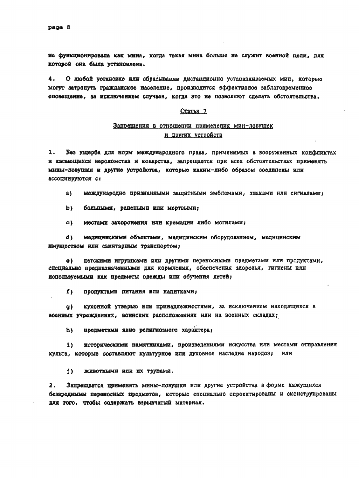не функционировала как мина, когда такая мина больше не служит военной цели, для которой она была установлена.

 $\ddot{\bullet}$ О любой установке или сбрасывании дистанционно устанавливаемых мин, которые могут затронуть гражданское население, производится эффективное заблаговременное оповещение, за исключением случаев, когда это не позволяют сделать обстоятельства.

### $Cra<sub>TS</sub>$   $2$

# Запрещения в отношении применения мин-ловушек **H ILDYTHX VCTDOÄCTB**

 $\mathbf{1}$ . Без ущерба для норм международного права, применимых в вооруженных конфликтах и касающихся веропомства и коварства, запрещается при всех обстоятельствах применять мины-довушки и другие устройства, которые каким-либо образом соединены или ассоцинруются с:

международно признанными защитными эмблемами, знаками или сигналами; **a**)

больными, ранеными или мертвыми; b) and the set of the set of the set of the set of the set of the set of the set of the set of the set of the <br>set of the set of the set of the set of the set of the set of the set of the set of the set of the set of the<br>s

C) местами захоронения или кремации либо могилами;

медицинскими объектами, медицинским оборудованием, медицинским d) имуществом или санитарным транспортом;

детскими игрушками или другими переносными предметами или продуктами,  $\bullet$ специально предназначенными для кормления, обеспечения здоровья, гигиены или используемыми как предметы одежды или обучения детей;

£) продуктами питания или напитками;

кухонной утварью или принадлежностями, за исключением находящихся в g) военных учреждениях, воинских расположениях или на военных складах;

предметами явно религиозного характера; h)

 $\mathbf{1}$ историческими памятниками, произведениями искусства или местами отправления культа, которые составляют культурное или духовное наследие народов; или

 $\mathbf{1}$ животными или их трупами.

Запрещается применять мины-ловушки или другие устройства в форме кажущихся  $\mathbf{2}$  . безвредными переносных предметов, которые специально спроектированы и сконструированы для того, чтобы содержать взрывчатый материал.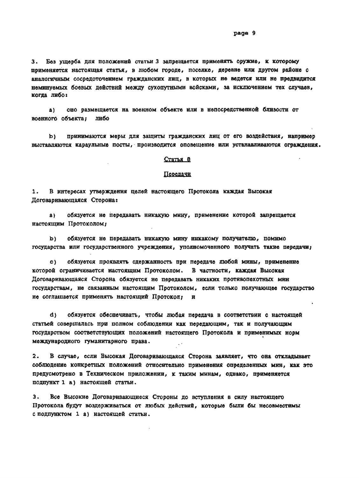3. Без ущерба дия положений статьи 3 запрещается применять оружие, к которому применяется настоящая статья, в любом городе, поселке, деревне или другом районе с аналогичным сосредоточением гражданских лиц, в которых не ведется или не предвидится неминуемых боевых действий между сухопутными войсками, за исключением тех случаев, когда либо:

оно размещается на военном объекте или в непосредственной близости от a) военного объекта; тибо

принимаются меры для защиты гражданских лиц от его воздействия, например b) выставляются караульные посты, производится оповещение или устанавливаются ограждения.

### Статья 8

# Перепачи

В интересах утверждения целей настоящего Протокола каждая Высокая  $1.$ Договаривающаяся Сторона:

обязуется не передавать никакую мину, применение которой запрещается a) настоящим Протоколом;

b) обязуется не передавать никакую мину никакому получателю, помимо государства или государственного учреждения, уполномоченного получать такие передачи;

 $c<sub>1</sub>$ обязуется проявлять сдержанность при передаче любой мины, применение которой ограничивается настоящим Протоколом. В частности, каждая Высокая Договаривающаяся Сторона обязуется не передавать никаких противопехотных мин государствам, не связанным настоящим Протоколом, если только получающее государство не соглашается применять настоящий Протокол: и

đ١ обязуется обеспечивать, чтобы любая передача в соответствии с настоящей статьей совершалась при полном соблюдении как передающим, так и получающим государством соответствующих положений настоящего Протокола и применимых норм международного гуманитарного права.

 $2.$ В случае, если Высокая Договаривающаяся Сторона заявляет, что она откладывает соблюдение конкретных положений относительно применения определенных мин, как это предусмотрено в Техническом приложении, к таким минам, однако, применяется подпункт 1 а) настоящей статьи.

Э. Все Высокие Договаривающиеся Стороны до вступления в силу настоящего Протокола будут воздерживаться от любых действий, которые были бы несовместнмы с подпунктом 1 а) настоящей статьи.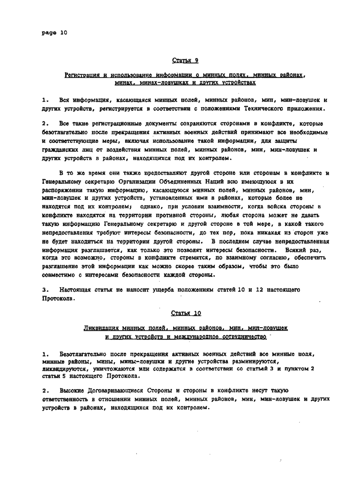# Статья 9

# Регистрация и использование информации о минных полях. минных районах. МИНАХ, МИНАХ-ЛОВУШКАХ И ДВУГИХ УСТВОЙСТВАХ

Вся информация, касающаяся минных полей, минных районов, мин, мин-ловушек и  $1.$ других устройств, регистрируется в соответствии с положениями Технического приложения.

 $2.$ Все такие регистрационные документы сохраняются сторонами в конфликте, которые безотлагательно после прекращения активных военных действий принимают все необходимые и соответствующие меры, включая использование такой информации, для защиты гражданских лиц от воздействия минных полей, минных районов, мин, мин-ловушек и других устройств в районах, находящихся под их контролем.

В то же время они также предоставляют другой стороне или сторонам в конфликте и Генеральному секретарю Организации Объединенных Наций всю имеющуюся в их распоряжении такую информацию, касающуюся минных полей, минных районов, мин, мин-ловушек и других устройств, установленных ими в районах, которые более не находятся под их контролем, однако, при условии взаимности, когда войска стороны в конфликте находятся на территории противной стороны, любая сторона может не давать такую информацию Генеральному секретарю и другой стороне в той мере, в какой такого непредоставления требуют интересы безопасности, до тех пор, пока никакая из сторон уже не будет находиться на территории другой стороны. В последнем случае непредоставленная информация разглашается, как только это позволят интересы безопасности. Всякий раз. когда это возможно, стороны в конфликте стремятся, по взаимному согласию, обеспечить разглашение этой информации как можно скорее таким образом, чтобы это было совместимо с интересами безопасности каждой стороны.

Настоящая статья не наносит ущерба положениям статей 10 и 12 настоящего 3. Протокола.

# Статья 10

# <u>Ликвидация минных полей, минных районов, мин, мин-ловушек</u> и других устройств и международное сотрудничество

Безотлагательно после прекращения активных военных действий все минные поля,  $\mathbf{1}$ . минные районы, мины, мины-ловушки и другие устройства разминируются, янквипируются, уничтожаются или содержатся в соответствии со статьей 3 и пунктом 2 статьи 5 настоящего Протокола.

Высокие Поговаривающиеся Стороны и стороны в конфликте несут такую  $2.$ ответственность в отношении минных полей, минных районов, мин, мин-ловушек и других устройств в районах, находящихся под их контролем.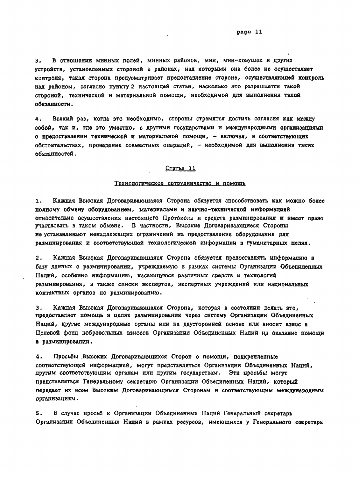В отношении минных полей, минных районов, мян, мин-ловушек и других  $3.$ устройств, установленных стороной в районах, над которыми она более не осуществляет контроля, такая сторона предусматривает предоставление стороне, осуществляющей контроль над районом, согласно пункту 2 настоящей статьи, насколько это разрешается такой стороной, технической и материальной помощи, необходимой для выполнения такой обязанности.

4. Всякий раз, когда это необходимо, стороны стремятся достичь согласия как между собой, так и, где это уместно, с другими государствами и международными организациями о предоставлении технической и материальной помощи, - включая, в соответствующих обстоятельствах, проведение совместных операций, - необходимой для выполнения таких обязанностей.

# Статья 11

### Технологическое сотрудничество и помощь

Каждая Высокая Договаривающаяся Сторона обязуется способствовать как можно более  $1.$ полному обмену оборудованием, материалами и научно-технической информацией относительно осуществления настоящего Протокола и средств разминирования и имеет право участвовать в таком обмене. В частности, Высокие Договаривающиеся Стороны не устанавливают ненациежащих ограничений на предоставление оборудования цля разминирования и соответствующей технологической информации в гуманитарных целях.

Каждая Высокая Договаривающаяся Сторона обязуется предоставлять информацию в  $2.$ базу данных о разминировании, учреждаемую в рамках системы Организации Объединенных Наций, особенно информацию, касающуюся различных средств и технологий разминирования, а также списки экспертов, экспертных учреждений или национальных контактных органов по разминированию.

Каждая Высокая Договаривающаяся Сторона, которая в состоянии делать это,  $\overline{3}$ . предоставляет помощь в целях разминирования через систему Организации Объединенных Наций, другие международные срганы или на двусторонней основе или вносит взнос в Целевой фонд добровольных взносов Организации Объединенных Наций на оказание помощи в разминировании.

4. Просьбы Высоких Договаривающихся Сторон о помощи, подкрепленные соответствующей информацией, могут представляться Организации Объединенных Наций, другим соответствующим органам или другим государствам. Эти просьбы могут представляться Генеральному секретарю Организации Объединенных Наций, который передает их всем Высоким Договаривающимся Сторонам и соответствующим международным организациям.

В случае просьб к Организации Объединенных Наций Генеральный секретарь  $S<sub>1</sub>$ Организации Объединенных Наций в рамках ресурсов, имеющихся у Генерального сокретаря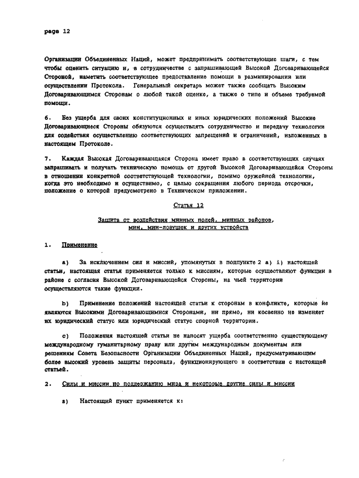Организации Объединенных Наций, может предпринимать соответствующие шаги, с тем чтобы оценить ситуацию и, в сотрудничестве с запрашивающей Высокой Договаривающейся Стороной, наметить соответствующее предоставление помощи в разминировании или осуществдении Протокола. Генеральный секретарь может также сообщать Высоким Договаривающимся Сторонам о любой такой оценке, а также о типе и объеме требуемой помощи.

б. Без ущерба для своих конституционных и иных юридических положений Высокие Договаривающиеся Стороны обязуются осуществлять сотрудничество и передачу технологии шия соцействия осуществлению соответствующих запрещений и ограничений, изложенных в настоящем Протоколе.

7. Каждая Высокая Договаривающаяся Сторона имеет право в соответствующих случаях запрашивать и получать техническую помощь от другой Высокой Договаривающейся Стороны в отношении конкретной соответствующей технологии, помимо оружейной технологии, когда это необходимо и осуществимо, с целью сокращения любого периода отсрочки. положение о которой предусмотрено в Техническом приложении.

### Статья 12

# Защита от воздействия минных полей, минных районов, МИИ. МИН-ЛОВУШСК И ДРУГИХ УСТРОЙСТВ

#### $1.$ Применение

За исключением сил и миссий, упомянутых в подпункте 2 а) і) настоящей a) статьи, настоящая статья применяется только к миссиям, которые осуществляют функции в районе с согласия Высокой Договаривающейся Стороны, на чьей территории осуществляются такие функции.

Применение положений настоящей статьи к сторонам в конфликте, которые не b) являются Высокими Договаривающимися Сторонами, ни прямо, ни косвенно не изменяет их юридический статус или юридический статус спорной территории.

Положения настоящей статьи не наносят ущерба соответственно существующему c) международному гуманитарному праву или другим международным документам яли рещениям Совета Безопасности Организации Объединенных Наций, предусматривающим более высокий уровень защиты персонала, функционирующего в соответствии с настоящей  $c$ ratte $\hat{a}$ .

é,

 $2.$ Силы и миссии по поддержанию мира и некоторые другие силы и миссии

**a**) Настоящий пункт применяется к: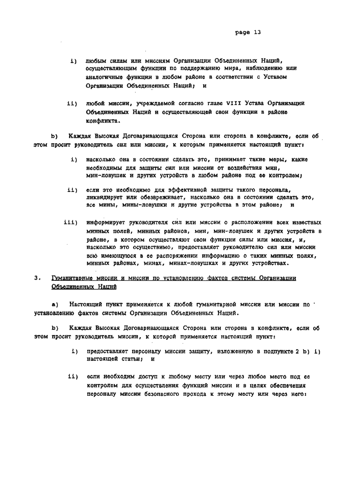- любым силам или миссиям Организации Объединенных Наций,  $\mathbf{1}$ осуществляющим функции по поддержанию мира, наблюдению или аналогичные функции в любом районе в соответствии с Уставом Организации Объединенных Наций; и
- любой миссии, учреждаемой согласно главе VIII Устава Организации 11) Объединенных Наций и осуществляющей свои функции в районе конфликта.

Каждая Высокая Договаривающаяся Сторона или сторона в конфликте, если об b) этом просит руководитель сил или миссии, к которым применяется настоящий пункт:

- насколько она в состоянии сделать это, принимает такие меры, какие  $\mathbf{1}$ необходимы для защиты сил или миссии от воздействия мин. мин-ловушек и других устройств в любом районе под ее контролем;
- если это необходимо для эффективной защиты такого персонала,  $11$ ликвидирует или обезвреживает, насколько она в состоянии сделать это, все мины, мины-ловушки и другие устройства в этом районе; и
- 111) информирует руководителя сил или миссии о расположении всех известных минных полей, минных районов, мин, мин-ловушек и других устройств в районе, в котором осуществляют свои функции силы или миссия, и, насколько это осуществимо, предоставляет руководителю сил или мисски всю имеющуюся в ее распоряжении информацию о таких минных полях, минных районах, минах, минах-ловушках и других устройствах.
- $3.$ Гуманитарные миссии и миссии по установлению фактов системы Организации Объединенных Наций

Настоящий пункт применяется к любой гуманитарной миссии или миссии по  $a)$ установлению фактов системы Организации Объединенных Наций.

b) Каждая Высокая Договаривающаяся Сторона или сторона в конфликте, если об этом просит руководитель миссии, к которой применяется настоящий пункт:

- 1) предоставляет персоналу миссии защиту, изложенную в подпункте 2 b) i) настоящей статьи; и
- если необходим доступ к любому месту или через любое место под ее  $11)$ контролем для осуществления функций миссии и в целях обеспечения персоналу миссии безопасного прохода к этому месту или через него: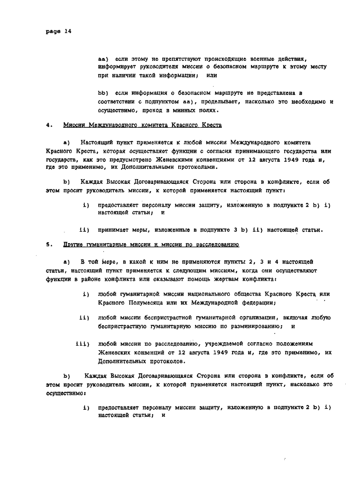аа) если этому не препятствуют происходящие военные действия. внформирует руководителя миссии о безопасном маршруте к этому месту при наличии такой информации: или

bb) если информация о безопасном маршруте не представлена в соответствии с подпунктом аа), проделывает, насколько это необходимо и осуществимо, проход в минных полях.

#### 4. Миссии Международного комитета Красного Креста

a) Настоящий пункт применяется к любой миссии Международного комитета Красного Креста, которая осуществляет функции с согласия принимающего государства или государств, как это предусмотрено Женевскими конвенциями от 12 августа 1949 года и. где это применимо, их Дополнительными протоколами.

b) Каждая Высокая Договаривающаяся Сторона или сторона в конфликте, если об Этом просит руководитель миссии, к которой применяется настоящий пункт:

- предоставляет персоналу миссии защиту, изложенную в подпункте 2 b) i) 主) настоящей статьи; и
- 11) принимает меры, изложенные в подпункте 3 b) ii) настоящей статьи.

#### $S<sub>1</sub>$ Пругие гуманитарные миссии и миссии по расследованию

**a**) В той мере, в какой к ним не применяются пункты 2, 3 и 4 настоящей статьи, настоящий пункт применяется к следующим миссиям, когда они осуществляют функции в районе конфликта или оказывают помощь жертвам конфликта:

- любой гуманитарной миссии национального общества Красного Креста или  $\mathbf{L}$ Красного Полумесяца или их Международной федерации;
- любой миссии беспристрастной гуманитарной организации, включая любую 11) беспристрастную гуманитарную миссию по разминированию;  $\mathbf{v}$
- любой миссии по расследованию, учреждаемой согласно положениям 111) Женевских конвенций от 12 августа 1949 года и, где это применимо, их Дополнительных протоколов.

b) Каждая Высокая Договаривающаяся Сторона или сторона в конфликте, если об этом просит руководитель миссии, к которой применяется настоящий пункт, насколько это осуществимо:

> предоставляет персоналу миссии защиту, изложенную в подпункте 2 b) i)  $\mathbf{1}$ настоящей статьи; и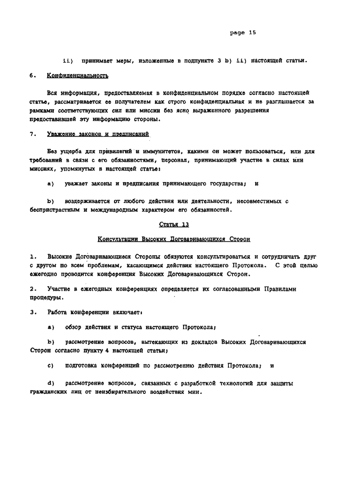11) принимает меры. изложенные в подпункте 3 b) ii) настоящей статьи.

#### б. Конфиленциальность

Вся информация, предоставляемая в конфиденциальном порядке согласно настоящей статье, рассматривается ее получателем как строго конфиденциальная и не разглашается за рамками соответствующих сил или миссии без ясно выраженного разрешения препоставившей эту информацию стороны.

#### 7. Уважение законов и предписаний

Без ущерба для привилегий и иммунитетов, какими он может пользоваться, или для требований в связи с его обязанностями, персонал, принимающий участие в силах или миссиях, упомянутых в настоящей статье:

 $a$ ) уважает законы и предписания принимающего государства; и

**b** воздерживается от любого действия или деятельности, несовместимых с беспристрастным и международным характером его обязанностей.

### Статья 13

# Консультации Высоких Поговаривающихся Сторон

 $\mathbf{1}$ . Высокие Договаривающиеся Стороны обязуются консультироваться и сотрудничать друг с другом по всем проблемам, касающимся действия настоящего Протокола. С этой целью ежегодно проводится конференция Высоких Поговаривающихся Сторон.

 $2.$ Участне в ежегодных конференциях определяется их согласованными Правилами процедуры.

 $\overline{3}$ . Работа конференции включает:

> **a**) обзор действия и статуса настоящего Протокола;

Ъ١ рассмотрение вопросов, вытекающих из докладов Высоких Договаривающихся Сторон согласно пункту 4 настоящей статьи;

C) подготовка конференций по рассмотрению действия Протокола; и

đì. рассмотрение вопросов, связанных с разработкой технологий для защиты гражданских лиц от неизбирательного воздействия мин.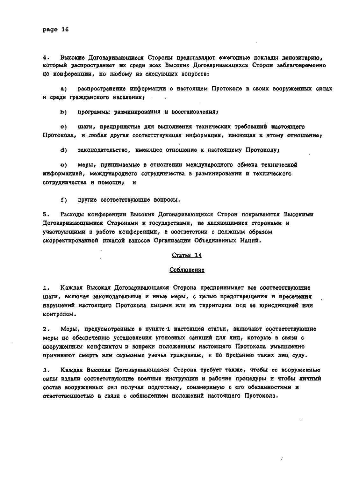4. Высокие Договаривающиеся Стороны представляют ежегодные доклады депозитарию. который распространяет их среди всех Высоких Договаривающихся Сторон заблаговременно до конференции, по любому из следующих вопросов:

распространение информации о настоящем Протоколе в своих вооруженных силах A۱ и среди гражданского населения;

программы разминирования и восстановления; b)

шаги, предпринятые для выполнения технических требований настоящего  $c \rightarrow$ Протокола, и пюбая другая соответствующая информация, имеющая к этому отношенне,

законодательство, имеющее отношение к настоящему Протоколу; d)

меры, принимаемые в отношении международного обмена технической  $\Theta$ информацией, международного сотрудничества в разминировании и технического сотрудничества и помощи; и

другие соответствующие вопросы.  $f$ )

Расходы конференции Высоких Договаривающихся Сторон покрываются Высокими 5. Договаривающимися Сторонами и государствами, не являющимися сторонами и участвующими в работе конференции, в соответствии с должным образом скорректированной шкалой взносов Организации Объединенных Наций.

# Статья 14

# Соблюдение

Каждая Высокая Договаривающаяся Сторона предпринимает все соответствующие  $\mathbf{1}$ . шаги, включая законодательные и иные меры, с целью предотвращения и пресечения нарушений настоящего Протокола лицами или на территории под ее юрисдикцией или контролем.

 $2.$ Меры, предусмотренные в пункте 1 настоящей статьи, включают соответствующие меры по обеспечению установления уголовных санкций для лиц, которые в связи с вооруженным конфликтом и вопреки положениям настоящего Протокола умышленно причиняют смерть или серьезные увечья гражданам, и по преданню таких лиц суду.

Каждая Высокая Договаривающаяся Сторона требует также, чтобы ее вооруженные 3. силы издали соответствующие военные инструкции и рабочие процедуры и чтобы личный состав вооруженных сил получал подготовку, соизмеримую с его обязанностями и ответственностью в связи с соблюдением положений настоящего Протокола.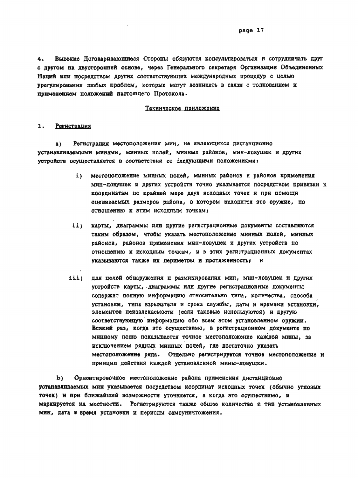$\Delta$ . Высокие Поговаривающиеся Стороны обязуются консультироваться и сотрудничать друг с другом на двусторонней основе, через Генерального секретаря Организации Объединенных Напий или посредством других соответствующих международных процедур с целью урегулирования любых проблем, которые могут возникать в связи с толкованием и применением положений настоящего Протокола.

# Техническое приложение

#### $\mathbf{1}$ **Регистрация**

Регистрания местоположения мин. не являющихся дистанционно  $\mathbf{A}$ устанавливаемыми минами, минных полей, минных районов, мин-ловушек и других устройств осуществляется в соответствии со следующими положениями:

- $\mathbf{1}$ местоположение минных полей. минных районов и районов применения мин-ловушек и других устройств точно указывается посредством привязки к координатам по крайней мере двух исходных точек и при помощи оцениваемых размеров района, в котором находится это оружие, по отношению к этим исходным точками
- $11$ карты, диаграммы или другие регистрационные документы составляются таким образом, чтобы указать местоположение минных полей, минных районов, районов применения мин-ловушек и других устройств по отношению к исходным точкам. и в этих регистрационных документах указываются также их периметры и протяженность; и
- для целей обнаружения и разминирования мин, мин-ловушек и других 111) устройств карты, диаграммы или другие регистрационные документы содержат полную информацию относительно типа, количества, способа установки, типа взрывателя и срока службы, даты и времени установки, элементов неизвлекаемости (если таковые используются) и другую соответствующую информацию обо всем этом установленном оружии. Всякий раз, когда это осуществимо, в регистрационном документе по минному полю показывается точное местоположение каждой мины, за исключением рядных минных полей, где достаточно указать местоположение ряда. Отдельно регистрируется точное местоположение и принцип действия каждой установленной мины-ловущки.

b) Ориентировочное местоположение района применения дистанционно устанавливаемых мин указывается посредством координат исходных точек (обычно угловых точек) и при ближайшей возможности уточняется, а когда это осуществимо, и маркируется на местности. Регистрируются также общее количество и тип установленных мин, дата и время установки и периоды самоуничтожения.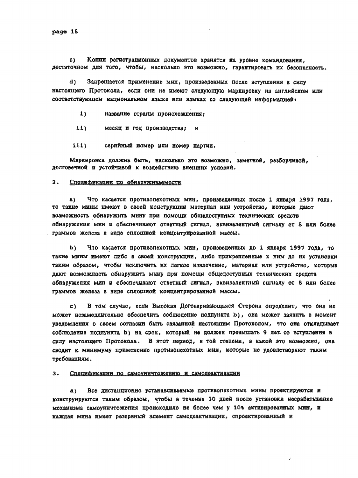Копии регистрационных документов хранятся на уровне командования, C) достаточном для того, чтобы, насколько это возможно, гарантировать их безопасность.

d) Запрещается применение мин, произведенных после вступления в силу настоящего Протокола, если они не имеют следующую маркировку на английском или соответствующем национальном языке или языках со следующей информацией:

- $\pm 1$ название страны происхождения:
- $11$ месяц и год производства: и
- $111$ серийный номер или номер партин.

Маркировка должна быть, насколько это возможно, заметной, разборчивой, долговечной и устойчивой к воздействию внешних условий.

#### $2.$ Спецификации по обнаруживаемости

Что касается противопехотных мин. произведенных после 1 января 1997 года. 2) то такие мины имеют в своей конструкции материал или устройство, которые дают возможность обнаружить мину при помощи общедоступных технических средств обнаружения мин и обеспечивают ответный сигнал, эквивалентный сигналу от 8 или более граммов железа в виде сплошной концентрированной массы.

b) Что касается противопехотных мин, произведенных до 1 января 1997 года, то такие мины имеют либо в своей конструкции, либо прикрепленные к ним до их установки таким образом, чтобы исключить их легкое извлечение, материал или устройство, которые дают возможность обнаружить мину при помощи общедоступных технических средств обнаружения мин и обеспечивают ответный сигнал, эквивалентный сигналу от 8 или более граммов железа в виде сплошной концентрированной массы.

В том случае, если Высокая Поговаривающаяся Сторона определит, что она не  $c<sub>1</sub>$ может незамедлительно обеспечить соблюдение подпункта b), она может заявить в момент уведомления о своем согласии быть связанной настоящим Протоколом, что она откладывает соблюдение подпункта b) на срок, который не должен превышать 9 лет со вступления в силу настоящего Протокола. В этот период, в той степени, в какой это возможно, она сводит к минимуму применение противопехотных мин, которые не удовлетворяют таким требованиям.

#### $3.$ Спецификации по самоуничтожению и самодеактивации

**A** } Все дистанционно устанавливаемые противопехотные мины проектируются и конструируются таким образом, чтобы в течение 30 дней после установки несрабатывание механизма самоуничтожения происходило не более чем у 10% активированных мин, и каждая мина имеет резервный элемент самодеактивации, спроектированный и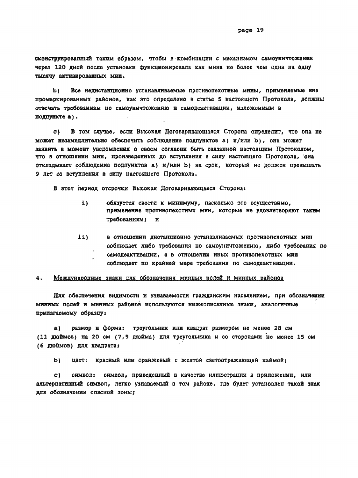сконструированный таким образом, чтобы в комбинации с механизмом самоуничтожения через 120 дней после установки функционировала как мина не более чем одна на одну тысячу активированных мин.

Все недистанционно устанавливаемые противопехотные мины, применяемые вне p) промаркированных районов, как это определено в статье 5 настоящего Протокола, должны отвечать требованиям по самоуничтожению и самодеактивации, изложенным в подпункте а).

В том случае, если Высокая Договаривающаяся Сторона определит, что она не C) может незамедлительно обеспечить соблюдение подпунктов а) и/или b), она может заявить в момент уведомления о своем согласии быть связанной настоящим Протоколом, что в отношении мин, произведенных до вступления в силу настоящего Протокола, она откладывает соблюдение подпунктов а) и/или b) на срок, который не должен превышать 9 лет со вступления в силу настоящего Протокола.

В этот период отсрочки Высокая Договаривающаяся Сторона:

- $\downarrow$  ) обязуется свести к минимуму, насколько это осуществимо, применение противопехотных мин, которые не удовлетворяют таким требованиям; и
- $11$ в отношении дистанционно устанавливаемых противопехотных мин соблюдает либо требования по самоуничтожению. либо требования по самодеактивации, а в отношении иных противопехотных мин соблюдает по крайней мере требования по самодеактивации.

#### 4. Международные знаки для обозначения минных полей и минных районов

Для обеспечения видимости и узнаваемости гражданским населением, при обозначении минных полей и минных районов используются нижеописанные знаки, аналогичные прилагаемому образцу:

a) размер и форма: треугольник или квадрат размером не менее 28 см (11 дюймов) на 20 см (7,9 дюйма) для треугольника и со сторонами не менее 15 см (6 дюймов) для квадрата;

b) цвет: красный или оранжевый с желтой светоотражающей каймой;

символ: символ, приведенный в качестве иллюстрации в приложении, или C) альтернативный символ, легко узнаваемый в том районе, где будет установлен такой знак для обозначения опасной зоны;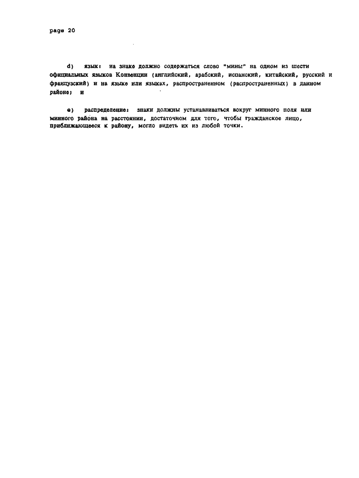page 20

d) язык: на знаке допжно содержаться слово "мины" на одном из шести официальных языков Конвенции (английский, арабский, испанский, китайский, русский и французский) и на языке или языках, распространенном (распространенных) в данном  $\mathbf{r}$ районе; и

•) распределение: знаки должны устанавливаться вокруг минного поля или минного района на расстоянии, достаточном для того, чтобы гражданское лицо, приближающееся к району, могло видеть их из любой точки.

 $\sim$   $\mu$  .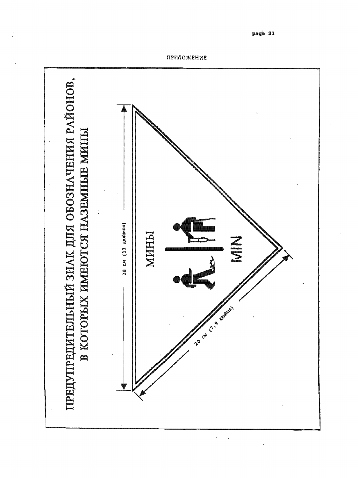ПРИЛОЖЕНИЕ



ź